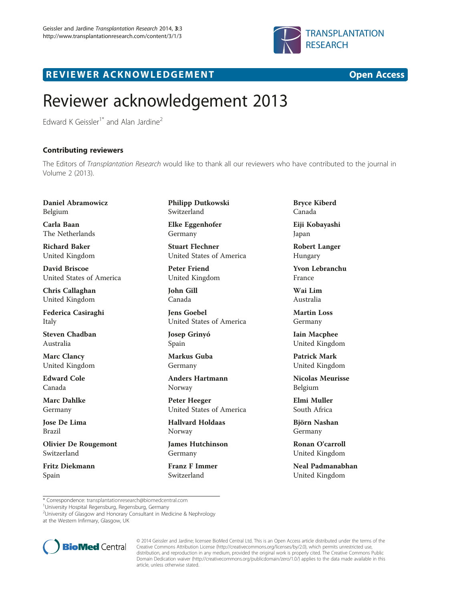

## R EVI EW E R ACKNOW L EDG EM EN T Open Access

## Reviewer acknowledgement 2013

Edward K Geissler<sup>1\*</sup> and Alan Jardine<sup>2</sup>

## Contributing reviewers

The Editors of Transplantation Research would like to thank all our reviewers who have contributed to the journal in Volume 2 (2013).

Daniel Abramowicz Belgium

Carla Baan The Netherlands

Richard Baker United Kingdom

David Briscoe United States of America

Chris Callaghan United Kingdom

Federica Casiraghi Italy

Steven Chadban Australia

Marc Clancy United Kingdom

Edward Cole Canada

Marc Dahlke Germany

Jose De Lima Brazil

Olivier De Rougemont Switzerland

Fritz Diekmann Spain

Philipp Dutkowski Switzerland

Elke Eggenhofer Germany

Stuart Flechner United States of America

Peter Friend United Kingdom

John Gill Canada

Jens Goebel United States of America

Josep Grinyó Spain

Markus Guba Germany

Anders Hartmann Norway

Peter Heeger United States of America

Hallvard Holdaas Norway

James Hutchinson Germany

Franz F Immer Switzerland

Bryce Kiberd Canada

Eiji Kobayashi Japan

Robert Langer Hungary

Yvon Lebranchu France

Wai Lim Australia

Martin Loss Germany

Iain Macphee United Kingdom

Patrick Mark United Kingdom

Nicolas Meurisse Belgium

Elmi Muller South Africa

Björn Nashan Germany

Ronan O'carroll United Kingdom

Neal Padmanabhan United Kingdom

\* Correspondence: [transplantationresearch@biomedcentral.com](mailto:transplantationresearch@biomedcentral.com) <sup>1</sup>

<sup>1</sup>University Hospital Regensburg, Regensburg, Germany

<sup>2</sup>University of Glasgow and Honorary Consultant in Medicine & Nephrology at the Western Infirmary, Glasgow, UK



© 2014 Geissler and Jardine; licensee BioMed Central Ltd. This is an Open Access article distributed under the terms of the Creative Commons Attribution License (<http://creativecommons.org/licenses/by/2.0>), which permits unrestricted use, distribution, and reproduction in any medium, provided the original work is properly cited. The Creative Commons Public Domain Dedication waiver [\(http://creativecommons.org/publicdomain/zero/1.0/\)](http://creativecommons.org/publicdomain/zero/1.0/) applies to the data made available in this article, unless otherwise stated.